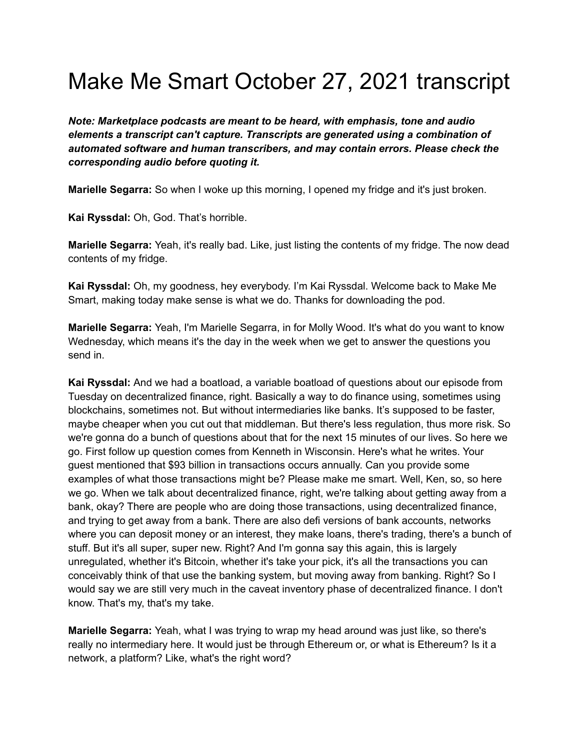## Make Me Smart October 27, 2021 transcript

*Note: Marketplace podcasts are meant to be heard, with emphasis, tone and audio elements a transcript can't capture. Transcripts are generated using a combination of automated software and human transcribers, and may contain errors. Please check the corresponding audio before quoting it.*

**Marielle Segarra:** So when I woke up this morning, I opened my fridge and it's just broken.

**Kai Ryssdal:** Oh, God. That's horrible.

**Marielle Segarra:** Yeah, it's really bad. Like, just listing the contents of my fridge. The now dead contents of my fridge.

**Kai Ryssdal:** Oh, my goodness, hey everybody. I'm Kai Ryssdal. Welcome back to Make Me Smart, making today make sense is what we do. Thanks for downloading the pod.

**Marielle Segarra:** Yeah, I'm Marielle Segarra, in for Molly Wood. It's what do you want to know Wednesday, which means it's the day in the week when we get to answer the questions you send in.

**Kai Ryssdal:** And we had a boatload, a variable boatload of questions about our episode from Tuesday on decentralized finance, right. Basically a way to do finance using, sometimes using blockchains, sometimes not. But without intermediaries like banks. It's supposed to be faster, maybe cheaper when you cut out that middleman. But there's less regulation, thus more risk. So we're gonna do a bunch of questions about that for the next 15 minutes of our lives. So here we go. First follow up question comes from Kenneth in Wisconsin. Here's what he writes. Your guest mentioned that \$93 billion in transactions occurs annually. Can you provide some examples of what those transactions might be? Please make me smart. Well, Ken, so, so here we go. When we talk about decentralized finance, right, we're talking about getting away from a bank, okay? There are people who are doing those transactions, using decentralized finance, and trying to get away from a bank. There are also defi versions of bank accounts, networks where you can deposit money or an interest, they make loans, there's trading, there's a bunch of stuff. But it's all super, super new. Right? And I'm gonna say this again, this is largely unregulated, whether it's Bitcoin, whether it's take your pick, it's all the transactions you can conceivably think of that use the banking system, but moving away from banking. Right? So I would say we are still very much in the caveat inventory phase of decentralized finance. I don't know. That's my, that's my take.

**Marielle Segarra:** Yeah, what I was trying to wrap my head around was just like, so there's really no intermediary here. It would just be through Ethereum or, or what is Ethereum? Is it a network, a platform? Like, what's the right word?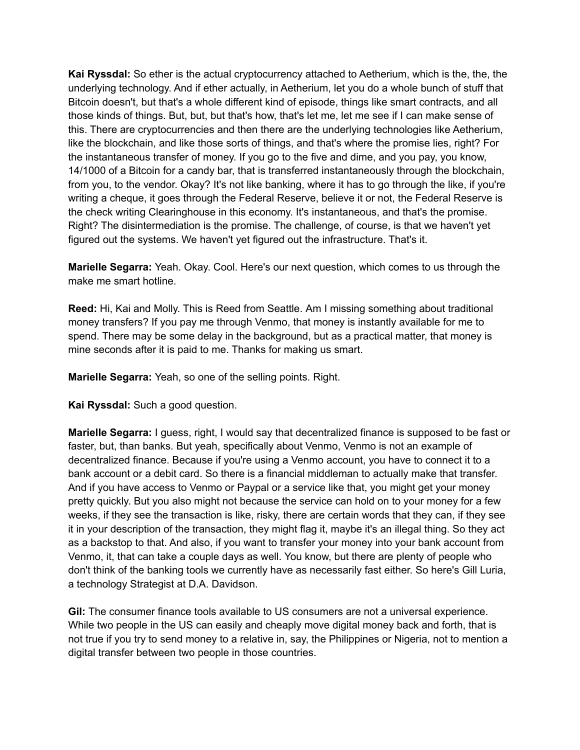**Kai Ryssdal:** So ether is the actual cryptocurrency attached to Aetherium, which is the, the, the underlying technology. And if ether actually, in Aetherium, let you do a whole bunch of stuff that Bitcoin doesn't, but that's a whole different kind of episode, things like smart contracts, and all those kinds of things. But, but, but that's how, that's let me, let me see if I can make sense of this. There are cryptocurrencies and then there are the underlying technologies like Aetherium, like the blockchain, and like those sorts of things, and that's where the promise lies, right? For the instantaneous transfer of money. If you go to the five and dime, and you pay, you know, 14/1000 of a Bitcoin for a candy bar, that is transferred instantaneously through the blockchain, from you, to the vendor. Okay? It's not like banking, where it has to go through the like, if you're writing a cheque, it goes through the Federal Reserve, believe it or not, the Federal Reserve is the check writing Clearinghouse in this economy. It's instantaneous, and that's the promise. Right? The disintermediation is the promise. The challenge, of course, is that we haven't yet figured out the systems. We haven't yet figured out the infrastructure. That's it.

**Marielle Segarra:** Yeah. Okay. Cool. Here's our next question, which comes to us through the make me smart hotline.

**Reed:** Hi, Kai and Molly. This is Reed from Seattle. Am I missing something about traditional money transfers? If you pay me through Venmo, that money is instantly available for me to spend. There may be some delay in the background, but as a practical matter, that money is mine seconds after it is paid to me. Thanks for making us smart.

**Marielle Segarra:** Yeah, so one of the selling points. Right.

**Kai Ryssdal:** Such a good question.

**Marielle Segarra:** I guess, right, I would say that decentralized finance is supposed to be fast or faster, but, than banks. But yeah, specifically about Venmo, Venmo is not an example of decentralized finance. Because if you're using a Venmo account, you have to connect it to a bank account or a debit card. So there is a financial middleman to actually make that transfer. And if you have access to Venmo or Paypal or a service like that, you might get your money pretty quickly. But you also might not because the service can hold on to your money for a few weeks, if they see the transaction is like, risky, there are certain words that they can, if they see it in your description of the transaction, they might flag it, maybe it's an illegal thing. So they act as a backstop to that. And also, if you want to transfer your money into your bank account from Venmo, it, that can take a couple days as well. You know, but there are plenty of people who don't think of the banking tools we currently have as necessarily fast either. So here's Gill Luria, a technology Strategist at D.A. Davidson.

**Gil:** The consumer finance tools available to US consumers are not a universal experience. While two people in the US can easily and cheaply move digital money back and forth, that is not true if you try to send money to a relative in, say, the Philippines or Nigeria, not to mention a digital transfer between two people in those countries.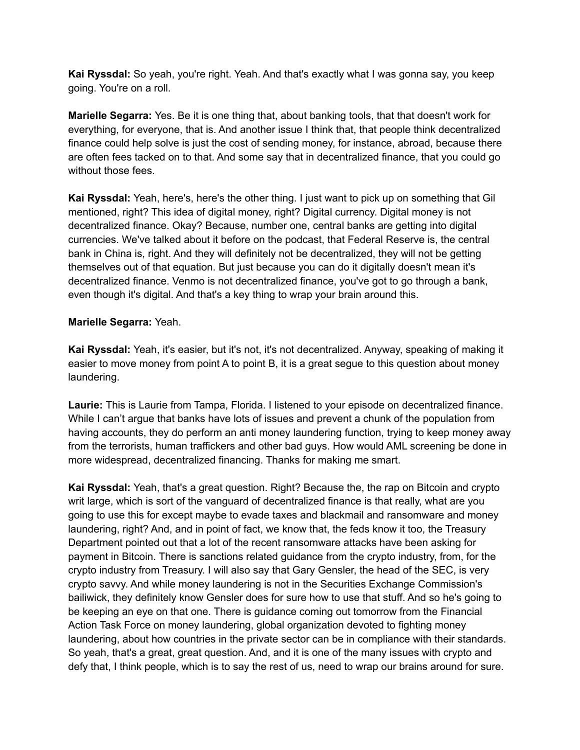**Kai Ryssdal:** So yeah, you're right. Yeah. And that's exactly what I was gonna say, you keep going. You're on a roll.

**Marielle Segarra:** Yes. Be it is one thing that, about banking tools, that that doesn't work for everything, for everyone, that is. And another issue I think that, that people think decentralized finance could help solve is just the cost of sending money, for instance, abroad, because there are often fees tacked on to that. And some say that in decentralized finance, that you could go without those fees.

**Kai Ryssdal:** Yeah, here's, here's the other thing. I just want to pick up on something that Gil mentioned, right? This idea of digital money, right? Digital currency. Digital money is not decentralized finance. Okay? Because, number one, central banks are getting into digital currencies. We've talked about it before on the podcast, that Federal Reserve is, the central bank in China is, right. And they will definitely not be decentralized, they will not be getting themselves out of that equation. But just because you can do it digitally doesn't mean it's decentralized finance. Venmo is not decentralized finance, you've got to go through a bank, even though it's digital. And that's a key thing to wrap your brain around this.

## **Marielle Segarra:** Yeah.

**Kai Ryssdal:** Yeah, it's easier, but it's not, it's not decentralized. Anyway, speaking of making it easier to move money from point A to point B, it is a great segue to this question about money laundering.

**Laurie:** This is Laurie from Tampa, Florida. I listened to your episode on decentralized finance. While I can't argue that banks have lots of issues and prevent a chunk of the population from having accounts, they do perform an anti money laundering function, trying to keep money away from the terrorists, human traffickers and other bad guys. How would AML screening be done in more widespread, decentralized financing. Thanks for making me smart.

**Kai Ryssdal:** Yeah, that's a great question. Right? Because the, the rap on Bitcoin and crypto writ large, which is sort of the vanguard of decentralized finance is that really, what are you going to use this for except maybe to evade taxes and blackmail and ransomware and money laundering, right? And, and in point of fact, we know that, the feds know it too, the Treasury Department pointed out that a lot of the recent ransomware attacks have been asking for payment in Bitcoin. There is sanctions related guidance from the crypto industry, from, for the crypto industry from Treasury. I will also say that Gary Gensler, the head of the SEC, is very crypto savvy. And while money laundering is not in the Securities Exchange Commission's bailiwick, they definitely know Gensler does for sure how to use that stuff. And so he's going to be keeping an eye on that one. There is guidance coming out tomorrow from the Financial Action Task Force on money laundering, global organization devoted to fighting money laundering, about how countries in the private sector can be in compliance with their standards. So yeah, that's a great, great question. And, and it is one of the many issues with crypto and defy that, I think people, which is to say the rest of us, need to wrap our brains around for sure.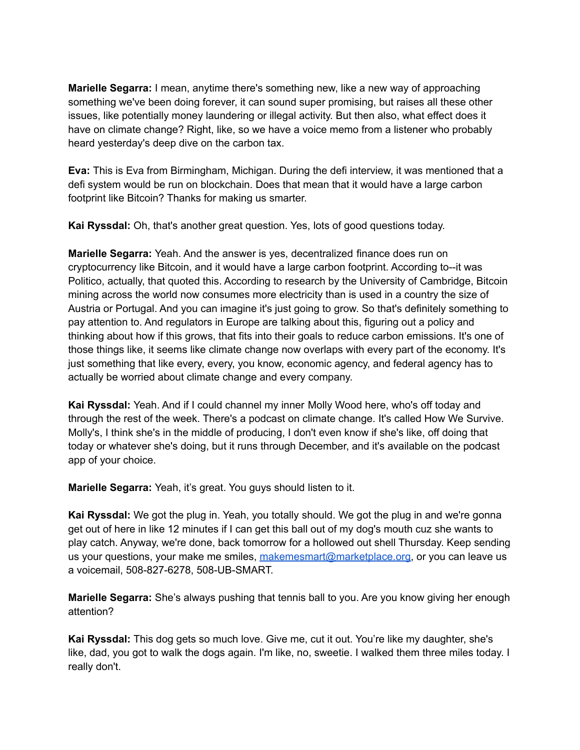**Marielle Segarra:** I mean, anytime there's something new, like a new way of approaching something we've been doing forever, it can sound super promising, but raises all these other issues, like potentially money laundering or illegal activity. But then also, what effect does it have on climate change? Right, like, so we have a voice memo from a listener who probably heard yesterday's deep dive on the carbon tax.

**Eva:** This is Eva from Birmingham, Michigan. During the defi interview, it was mentioned that a defi system would be run on blockchain. Does that mean that it would have a large carbon footprint like Bitcoin? Thanks for making us smarter.

**Kai Ryssdal:** Oh, that's another great question. Yes, lots of good questions today.

**Marielle Segarra:** Yeah. And the answer is yes, decentralized finance does run on cryptocurrency like Bitcoin, and it would have a large carbon footprint. According to--it was Politico, actually, that quoted this. According to research by the University of Cambridge, Bitcoin mining across the world now consumes more electricity than is used in a country the size of Austria or Portugal. And you can imagine it's just going to grow. So that's definitely something to pay attention to. And regulators in Europe are talking about this, figuring out a policy and thinking about how if this grows, that fits into their goals to reduce carbon emissions. It's one of those things like, it seems like climate change now overlaps with every part of the economy. It's just something that like every, every, you know, economic agency, and federal agency has to actually be worried about climate change and every company.

**Kai Ryssdal:** Yeah. And if I could channel my inner Molly Wood here, who's off today and through the rest of the week. There's a podcast on climate change. It's called How We Survive. Molly's, I think she's in the middle of producing, I don't even know if she's like, off doing that today or whatever she's doing, but it runs through December, and it's available on the podcast app of your choice.

**Marielle Segarra:** Yeah, it's great. You guys should listen to it.

**Kai Ryssdal:** We got the plug in. Yeah, you totally should. We got the plug in and we're gonna get out of here in like 12 minutes if I can get this ball out of my dog's mouth cuz she wants to play catch. Anyway, we're done, back tomorrow for a hollowed out shell Thursday. Keep sending us your questions, your make me smiles, [makemesmart@marketplace.org,](mailto:makemesmart@marketplace.org) or you can leave us a voicemail, 508-827-6278, 508-UB-SMART.

**Marielle Segarra:** She's always pushing that tennis ball to you. Are you know giving her enough attention?

**Kai Ryssdal:** This dog gets so much love. Give me, cut it out. You're like my daughter, she's like, dad, you got to walk the dogs again. I'm like, no, sweetie. I walked them three miles today. I really don't.